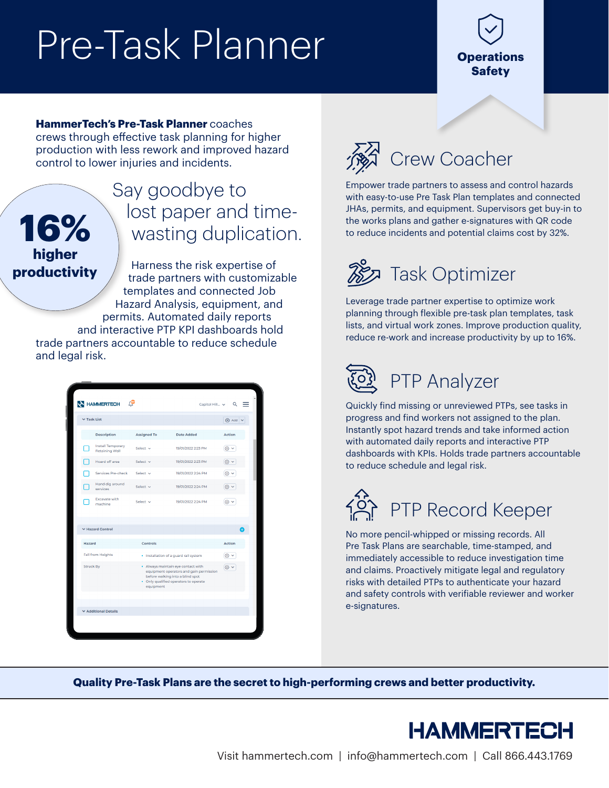## Pre-Task Planner

### **Operations Safety**

**HammerTech's Pre-Task Planner** coaches crews through effective task planning for higher production with less rework and improved hazard

control to lower injuries and incidents.

**16%**

**higher productivity**

### Say goodbye to lost paper and timewasting duplication.

Harness the risk expertise of trade partners with customizable templates and connected Job Hazard Analysis, equipment, and permits. Automated daily reports and interactive PTP KPI dashboards hold

trade partners accountable to reduce schedule and legal risk.

|                          | <b>AN HAMMERTECH</b><br>≃                         |                                                                                                                                                                         | Capitol Hill v     | Q               |
|--------------------------|---------------------------------------------------|-------------------------------------------------------------------------------------------------------------------------------------------------------------------------|--------------------|-----------------|
| $\vee$ Task List         |                                                   |                                                                                                                                                                         |                    | $\bigoplus$ Add |
|                          | <b>Description</b>                                | <b>Assigned To</b>                                                                                                                                                      | <b>Date Added</b>  | <b>Action</b>   |
|                          | <b>Install Temporary</b><br><b>Retaining Wall</b> | Select $\sim$                                                                                                                                                           | 19/01/2022 2:23 PM | ⊗ ∨             |
|                          | Hoard off area                                    | Select $\sim$                                                                                                                                                           | 19/01/2022 2:23 PM | ⊗ ∨             |
|                          | Services Pre-check                                | Select v                                                                                                                                                                | 19/01/2022 2:24 PM |                 |
|                          | Hand dig around<br>services                       | Select $\sim$                                                                                                                                                           | 19/01/2022 2:24 PM |                 |
|                          | <b>Excavate with</b><br>machine                   | Select $\vee$                                                                                                                                                           | 19/01/2022 2:24 PM | 冊               |
|                          | ▼ Hazard Control                                  |                                                                                                                                                                         |                    | ÷               |
| Hazard                   |                                                   | Controls                                                                                                                                                                |                    | <b>Action</b>   |
| <b>Fall from Heights</b> |                                                   | · Installation of a guard rail system                                                                                                                                   |                    |                 |
| <b>Struck By</b>         |                                                   | • Always maintain eye contact with<br>equipment operators and gain permission<br>before walking into a blind spot<br>• Only qualified operators to operate<br>equipment |                    | ◎ ∨             |
|                          |                                                   |                                                                                                                                                                         |                    |                 |
|                          | <b>▼ Additional Details</b>                       |                                                                                                                                                                         |                    |                 |
|                          |                                                   |                                                                                                                                                                         |                    |                 |



Empower trade partners to assess and control hazards with easy-to-use Pre Task Plan templates and connected JHAs, permits, and equipment. Supervisors get buy-in to the works plans and gather e-signatures with QR code to reduce incidents and potential claims cost by 32%.



Leverage trade partner expertise to optimize work planning through flexible pre-task plan templates, task lists, and virtual work zones. Improve production quality, reduce re-work and increase productivity by up to 16%.



Quickly find missing or unreviewed PTPs, see tasks in progress and find workers not assigned to the plan. Instantly spot hazard trends and take informed action with automated daily reports and interactive PTP dashboards with KPIs. Holds trade partners accountable to reduce schedule and legal risk.



No more pencil-whipped or missing records. All Pre Task Plans are searchable, time-stamped, and immediately accessible to reduce investigation time and claims. Proactively mitigate legal and regulatory risks with detailed PTPs to authenticate your hazard and safety controls with verifiable reviewer and worker e-signatures.

**Quality Pre-Task Plans are the secret to high-performing crews and better productivity.**